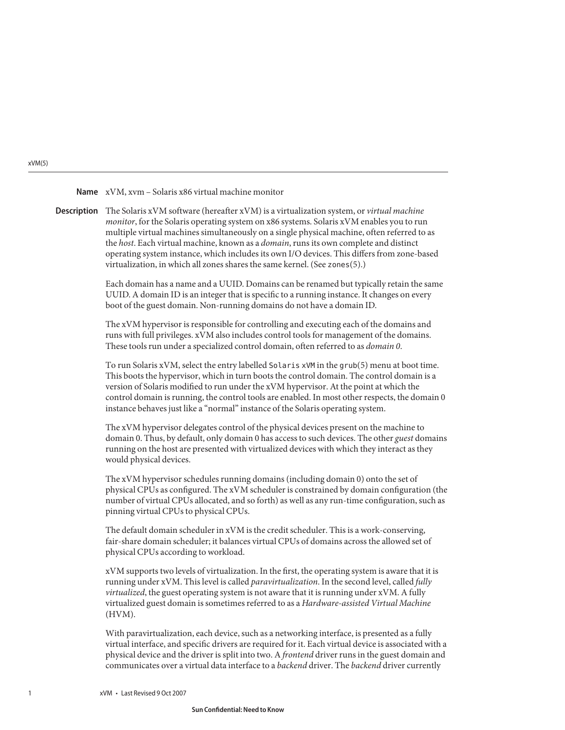#### xVM, xvm – Solaris x86 virtual machine monitor **Name**

The Solaris xVM software (hereafter xVM) is a virtualization system, or *virtual machine* **Description** *monitor*, for the Solaris operating system on x86 systems. Solaris xVM enables you to run multiple virtual machines simultaneously on a single physical machine, often referred to as the *host*. Each virtual machine, known as a *domain*, runs its own complete and distinct operating system instance, which includes its own I/O devices. This differs from zone-based virtualization, in which all zones shares the same kernel. (See zones(5).)

> Each domain has a name and a UUID. Domains can be renamed but typically retain the same UUID. A domain ID is an integer that is specific to a running instance. It changes on every boot of the guest domain. Non-running domains do not have a domain ID.

The xVM hypervisor is responsible for controlling and executing each of the domains and runs with full privileges. xVM also includes control tools for management of the domains. These tools run under a specialized control domain, often referred to as *domain 0*.

To run Solaris xVM, select the entry labelled Solaris xVM in the grub(5) menu at boot time. This boots the hypervisor, which in turn boots the control domain. The control domain is a version of Solaris modified to run under the xVM hypervisor. At the point at which the control domain is running, the control tools are enabled. In most other respects, the domain 0 instance behaves just like a "normal" instance of the Solaris operating system.

The xVM hypervisor delegates control of the physical devices present on the machine to domain 0. Thus, by default, only domain 0 has access to such devices. The other *guest* domains running on the host are presented with virtualized devices with which they interact as they would physical devices.

The xVM hypervisor schedules running domains (including domain 0) onto the set of physical CPUs as configured. The xVM scheduler is constrained by domain configuration (the number of virtual CPUs allocated, and so forth) as well as any run-time configuration, such as pinning virtual CPUs to physical CPUs.

The default domain scheduler in xVM is the credit scheduler. This is a work-conserving, fair-share domain scheduler; it balances virtual CPUs of domains across the allowed set of physical CPUs according to workload.

xVM supports two levels of virtualization. In the first, the operating system is aware that it is running under xVM. This level is called *paravirtualization*. In the second level, called *fully virtualized*, the guest operating system is not aware that it is running under xVM. A fully virtualized guest domain is sometimes referred to as a *Hardware-assisted Virtual Machine* (HVM).

With paravirtualization, each device, such as a networking interface, is presented as a fully virtual interface, and specific drivers are required for it. Each virtual device is associated with a physical device and the driver is split into two. A *frontend* driver runs in the guest domain and communicates over a virtual data interface to a *backend* driver. The *backend* driver currently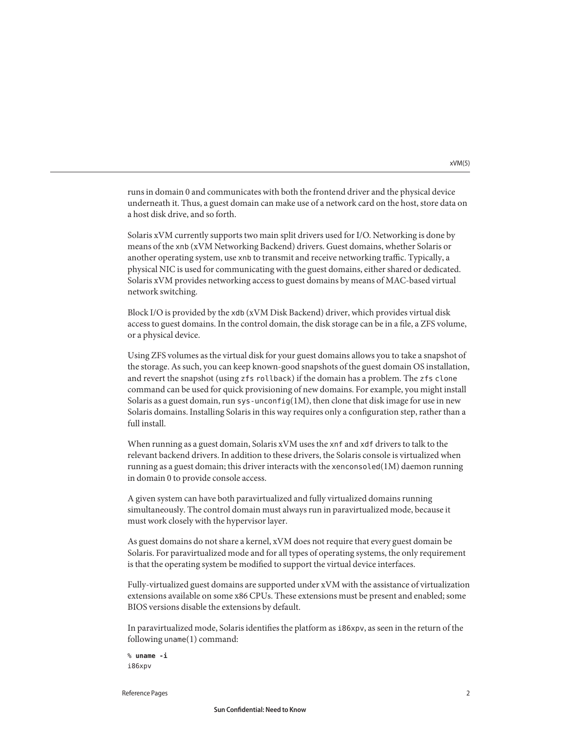runs in domain 0 and communicates with both the frontend driver and the physical device underneath it. Thus, a guest domain can make use of a network card on the host, store data on a host disk drive, and so forth.

Solaris xVM currently supports two main split drivers used for I/O. Networking is done by means of the xnb (xVM Networking Backend) drivers. Guest domains, whether Solaris or another operating system, use xnb to transmit and receive networking traffic. Typically, a physical NIC is used for communicating with the guest domains, either shared or dedicated. Solaris xVM provides networking access to guest domains by means of MAC-based virtual network switching.

Block I/O is provided by the xdb (xVM Disk Backend) driver, which provides virtual disk access to guest domains. In the control domain, the disk storage can be in a file, a ZFS volume, or a physical device.

Using ZFS volumes as the virtual disk for your guest domains allows you to take a snapshot of the storage. As such, you can keep known-good snapshots of the guest domain OS installation, and revert the snapshot (using zfs rollback) if the domain has a problem. The zfs clone command can be used for quick provisioning of new domains. For example, you might install Solaris as a guest domain, run sys-unconfig(1M), then clone that disk image for use in new Solaris domains. Installing Solaris in this way requires only a configuration step, rather than a full install.

When running as a guest domain, Solaris xVM uses the xnf and xdf drivers to talk to the relevant backend drivers. In addition to these drivers, the Solaris console is virtualized when running as a guest domain; this driver interacts with the xenconsoled $(1M)$  daemon running in domain 0 to provide console access.

A given system can have both paravirtualized and fully virtualized domains running simultaneously. The control domain must always run in paravirtualized mode, because it must work closely with the hypervisor layer.

As guest domains do not share a kernel, xVM does not require that every guest domain be Solaris. For paravirtualized mode and for all types of operating systems, the only requirement is that the operating system be modified to support the virtual device interfaces.

Fully-virtualized guest domains are supported under xVM with the assistance of virtualization extensions available on some x86 CPUs. These extensions must be present and enabled; some BIOS versions disable the extensions by default.

In paravirtualized mode, Solaris identifies the platform as i86xpv, as seen in the return of the following uname(1) command:

```
% uname -i
i86xpv
```
Reference Pages 22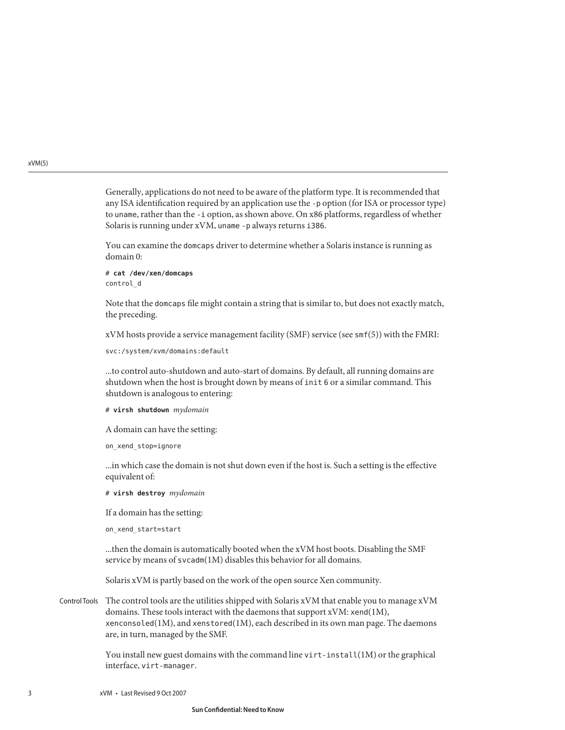Generally, applications do not need to be aware of the platform type. It is recommended that any ISA identification required by an application use the -p option (for ISA or processor type) to uname, rather than the -i option, as shown above. On x86 platforms, regardless of whether Solaris is running under xVM, uname -p always returns i386.

You can examine the domcaps driver to determine whether a Solaris instance is running as domain 0:

# **cat /dev/xen/domcaps** control\_d

Note that the domcaps file might contain a string that is similar to, but does not exactly match, the preceding.

xVM hosts provide a service management facility (SMF) service (see smf(5)) with the FMRI:

```
svc:/system/xvm/domains:default
```
...to control auto-shutdown and auto-start of domains. By default, all running domains are shutdown when the host is brought down by means of init 6 or a similar command. This shutdown is analogous to entering:

#### # **virsh shutdown** *mydomain*

A domain can have the setting:

on xend stop=ignore

...in which case the domain is not shut down even if the host is. Such a setting is the effective equivalent of:

# **virsh destroy** *mydomain*

If a domain has the setting:

on\_xend\_start=start

...then the domain is automatically booted when the xVM host boots. Disabling the SMF service by means of svcadm(1M) disables this behavior for all domains.

Solaris xVM is partly based on the work of the open source Xen community.

Control Tools The control tools are the utilities shipped with Solaris xVM that enable you to manage  $xVM$ domains. These tools interact with the daemons that support xVM: xend(1M), xenconsoled( $1M$ ), and xenstored( $1M$ ), each described in its own man page. The daemons are, in turn, managed by the SMF.

> You install new guest domains with the command line virt-install( $1M$ ) or the graphical interface, virt-manager.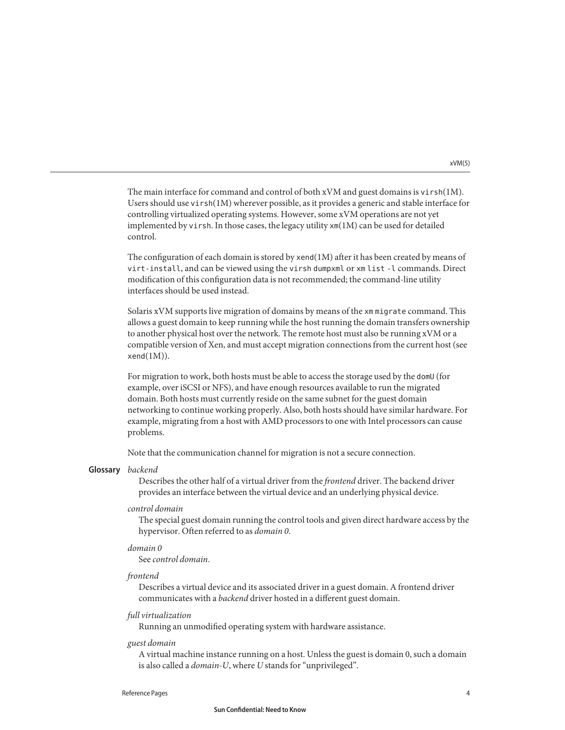xVM(5)

The main interface for command and control of both xVM and guest domains is virsh(1M). Users should use virsh(1M) wherever possible, as it provides a generic and stable interface for controlling virtualized operating systems. However, some xVM operations are not yet implemented by virsh. In those cases, the legacy utility  $x<sub>m</sub>(1M)$  can be used for detailed control.

The configuration of each domain is stored by xend(1M) after it has been created by means of virt-install, and can be viewed using the virsh dumpxml or xm list -l commands. Direct modification of this configuration data is not recommended; the command-line utility interfaces should be used instead.

Solaris xVM supports live migration of domains by means of the xm migrate command. This allows a guest domain to keep running while the host running the domain transfers ownership to another physical host over the network. The remote host must also be running xVM or a compatible version of Xen, and must accept migration connections from the current host (see  $xend(1M)$ ).

For migration to work, both hosts must be able to access the storage used by the domU (for example, over iSCSI or NFS), and have enough resources available to run the migrated domain. Both hosts must currently reside on the same subnet for the guest domain networking to continue working properly. Also, both hosts should have similar hardware. For example, migrating from a host with AMD processors to one with Intel processors can cause problems.

Note that the communication channel for migration is not a secure connection.

# *backend* **Glossary**

Describes the other half of a virtual driver from the *frontend* driver. The backend driver provides an interface between the virtual device and an underlying physical device.

## *control domain*

The special guest domain running the control tools and given direct hardware access by the hypervisor. Often referred to as *domain 0*.

## *domain 0*

See *control domain*.

## *frontend*

Describes a virtual device and its associated driver in a guest domain. A frontend driver communicates with a *backend* driver hosted in a different guest domain.

## *full virtualization*

Running an unmodified operating system with hardware assistance.

## *guest domain*

A virtual machine instance running on a host. Unless the guest is domain 0, such a domain is also called a *domain-U*, where *U* stands for "unprivileged".